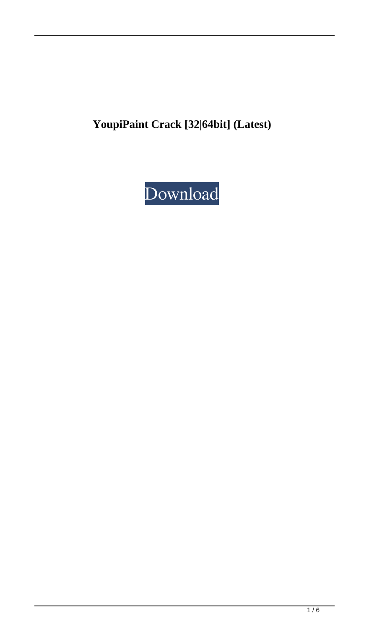**YoupiPaint Crack [32|64bit] (Latest)**

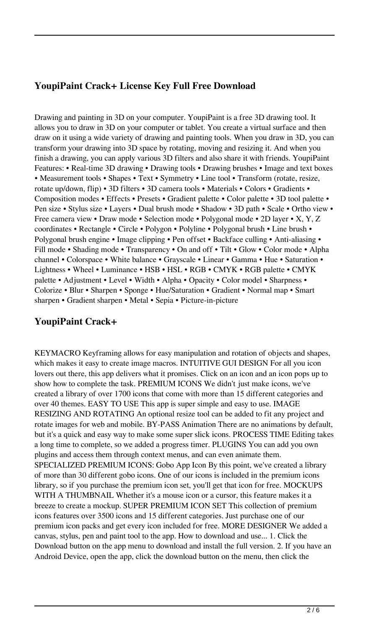## **YoupiPaint Crack+ License Key Full Free Download**

Drawing and painting in 3D on your computer. YoupiPaint is a free 3D drawing tool. It allows you to draw in 3D on your computer or tablet. You create a virtual surface and then draw on it using a wide variety of drawing and painting tools. When you draw in 3D, you can transform your drawing into 3D space by rotating, moving and resizing it. And when you finish a drawing, you can apply various 3D filters and also share it with friends. YoupiPaint Features: • Real-time 3D drawing • Drawing tools • Drawing brushes • Image and text boxes • Measurement tools • Shapes • Text • Symmetry • Line tool • Transform (rotate, resize, rotate up/down, flip) • 3D filters • 3D camera tools • Materials • Colors • Gradients • Composition modes • Effects • Presets • Gradient palette • Color palette • 3D tool palette • Pen size • Stylus size • Layers • Dual brush mode • Shadow • 3D path • Scale • Ortho view • Free camera view • Draw mode • Selection mode • Polygonal mode • 2D layer • X, Y, Z coordinates • Rectangle • Circle • Polygon • Polyline • Polygonal brush • Line brush • Polygonal brush engine • Image clipping • Pen offset • Backface culling • Anti-aliasing • Fill mode • Shading mode • Transparency • On and off • Tilt • Glow • Color mode • Alpha channel • Colorspace • White balance • Grayscale • Linear • Gamma • Hue • Saturation • Lightness • Wheel • Luminance • HSB • HSL • RGB • CMYK • RGB palette • CMYK palette • Adjustment • Level • Width • Alpha • Opacity • Color model • Sharpness • Colorize • Blur • Sharpen • Sponge • Hue/Saturation • Gradient • Normal map • Smart sharpen • Gradient sharpen • Metal • Sepia • Picture-in-picture

## **YoupiPaint Crack+**

KEYMACRO Keyframing allows for easy manipulation and rotation of objects and shapes, which makes it easy to create image macros. INTUITIVE GUI DESIGN For all you icon lovers out there, this app delivers what it promises. Click on an icon and an icon pops up to show how to complete the task. PREMIUM ICONS We didn't just make icons, we've created a library of over 1700 icons that come with more than 15 different categories and over 40 themes. EASY TO USE This app is super simple and easy to use. IMAGE RESIZING AND ROTATING An optional resize tool can be added to fit any project and rotate images for web and mobile. BY-PASS Animation There are no animations by default, but it's a quick and easy way to make some super slick icons. PROCESS TIME Editing takes a long time to complete, so we added a progress timer. PLUGINS You can add you own plugins and access them through context menus, and can even animate them. SPECIALIZED PREMIUM ICONS: Gobo App Icon By this point, we've created a library of more than 30 different gobo icons. One of our icons is included in the premium icons library, so if you purchase the premium icon set, you'll get that icon for free. MOCKUPS WITH A THUMBNAIL Whether it's a mouse icon or a cursor, this feature makes it a breeze to create a mockup. SUPER PREMIUM ICON SET This collection of premium icons features over 3500 icons and 15 different categories. Just purchase one of our premium icon packs and get every icon included for free. MORE DESIGNER We added a canvas, stylus, pen and paint tool to the app. How to download and use... 1. Click the Download button on the app menu to download and install the full version. 2. If you have an Android Device, open the app, click the download button on the menu, then click the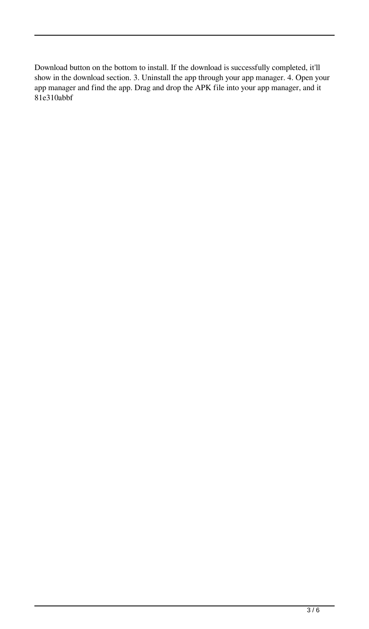Download button on the bottom to install. If the download is successfully completed, it'll show in the download section. 3. Uninstall the app through your app manager. 4. Open your app manager and find the app. Drag and drop the APK file into your app manager, and it 81e310abbf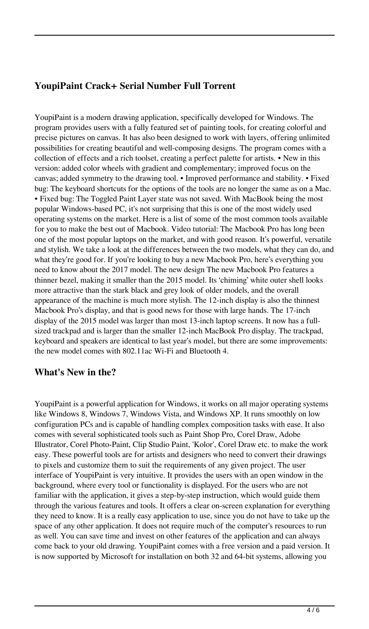# **YoupiPaint Crack+ Serial Number Full Torrent**

YoupiPaint is a modern drawing application, specifically developed for Windows. The program provides users with a fully featured set of painting tools, for creating colorful and precise pictures on canvas. It has also been designed to work with layers, offering unlimited possibilities for creating beautiful and well-composing designs. The program comes with a collection of effects and a rich toolset, creating a perfect palette for artists. • New in this version: added color wheels with gradient and complementary; improved focus on the canvas; added symmetry to the drawing tool. • Improved performance and stability. • Fixed bug: The keyboard shortcuts for the options of the tools are no longer the same as on a Mac. • Fixed bug: The Toggled Paint Layer state was not saved. With MacBook being the most popular Windows-based PC, it's not surprising that this is one of the most widely used operating systems on the market. Here is a list of some of the most common tools available for you to make the best out of Macbook. Video tutorial: The Macbook Pro has long been one of the most popular laptops on the market, and with good reason. It's powerful, versatile and stylish. We take a look at the differences between the two models, what they can do, and what they're good for. If you're looking to buy a new Macbook Pro, here's everything you need to know about the 2017 model. The new design The new Macbook Pro features a thinner bezel, making it smaller than the 2015 model. Its 'chiming' white outer shell looks more attractive than the stark black and grey look of older models, and the overall appearance of the machine is much more stylish. The 12-inch display is also the thinnest Macbook Pro's display, and that is good news for those with large hands. The 17-inch display of the 2015 model was larger than most 13-inch laptop screens. It now has a fullsized trackpad and is larger than the smaller 12-inch MacBook Pro display. The trackpad, keyboard and speakers are identical to last year's model, but there are some improvements: the new model comes with 802.11ac Wi-Fi and Bluetooth 4.

#### **What's New in the?**

YoupiPaint is a powerful application for Windows, it works on all major operating systems like Windows 8, Windows 7, Windows Vista, and Windows XP. It runs smoothly on low configuration PCs and is capable of handling complex composition tasks with ease. It also comes with several sophisticated tools such as Paint Shop Pro, Corel Draw, Adobe Illustrator, Corel Photo-Paint, Clip Studio Paint, 'Kolor', Corel Draw etc. to make the work easy. These powerful tools are for artists and designers who need to convert their drawings to pixels and customize them to suit the requirements of any given project. The user interface of YoupiPaint is very intuitive. It provides the users with an open window in the background, where every tool or functionality is displayed. For the users who are not familiar with the application, it gives a step-by-step instruction, which would guide them through the various features and tools. It offers a clear on-screen explanation for everything they need to know. It is a really easy application to use, since you do not have to take up the space of any other application. It does not require much of the computer's resources to run as well. You can save time and invest on other features of the application and can always come back to your old drawing. YoupiPaint comes with a free version and a paid version. It is now supported by Microsoft for installation on both 32 and 64-bit systems, allowing you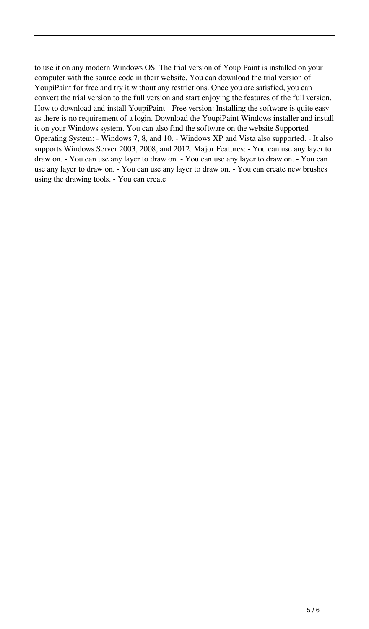to use it on any modern Windows OS. The trial version of YoupiPaint is installed on your computer with the source code in their website. You can download the trial version of YoupiPaint for free and try it without any restrictions. Once you are satisfied, you can convert the trial version to the full version and start enjoying the features of the full version. How to download and install YoupiPaint - Free version: Installing the software is quite easy as there is no requirement of a login. Download the YoupiPaint Windows installer and install it on your Windows system. You can also find the software on the website Supported Operating System: - Windows 7, 8, and 10. - Windows XP and Vista also supported. - It also supports Windows Server 2003, 2008, and 2012. Major Features: - You can use any layer to draw on. - You can use any layer to draw on. - You can use any layer to draw on. - You can use any layer to draw on. - You can use any layer to draw on. - You can create new brushes using the drawing tools. - You can create